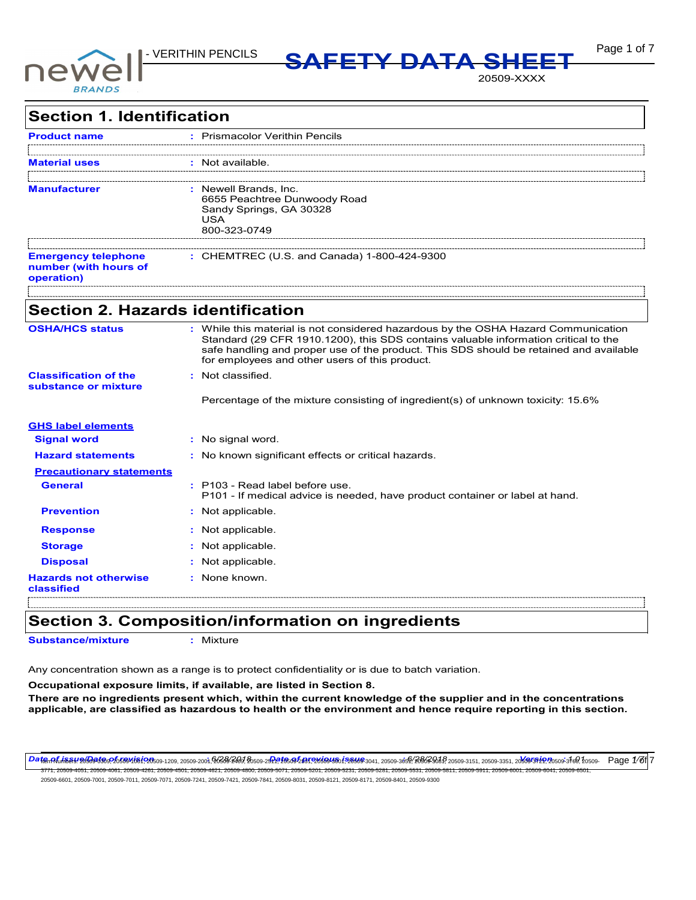

20509-XXXX

| <b>Section 1. Identification</b>                                  |                                                                                                                                                                                                                                                                                                                       |
|-------------------------------------------------------------------|-----------------------------------------------------------------------------------------------------------------------------------------------------------------------------------------------------------------------------------------------------------------------------------------------------------------------|
| <b>Product name</b>                                               | : Prismacolor Verithin Pencils                                                                                                                                                                                                                                                                                        |
| <b>Material uses</b>                                              | : Not available.                                                                                                                                                                                                                                                                                                      |
| <b>Manufacturer</b>                                               | : Newell Brands, Inc.<br>6655 Peachtree Dunwoody Road<br>Sandy Springs, GA 30328<br>USA<br>800-323-0749                                                                                                                                                                                                               |
| <b>Emergency telephone</b><br>number (with hours of<br>operation) | : CHEMTREC (U.S. and Canada) 1-800-424-9300                                                                                                                                                                                                                                                                           |
| <b>Section 2. Hazards identification</b>                          |                                                                                                                                                                                                                                                                                                                       |
| <b>OSHA/HCS status</b>                                            | : While this material is not considered hazardous by the OSHA Hazard Communication<br>Standard (29 CFR 1910.1200), this SDS contains valuable information critical to the<br>safe handling and proper use of the product. This SDS should be retained and available<br>for employees and other users of this product. |
| <b>Classification of the</b><br>substance or mixture              | : Not classified.<br>Percentage of the mixture consisting of ingredient(s) of unknown toxicity: 15.6%                                                                                                                                                                                                                 |
| <b>GHS label elements</b>                                         |                                                                                                                                                                                                                                                                                                                       |
| <b>Signal word</b>                                                | : No signal word.                                                                                                                                                                                                                                                                                                     |
| <b>Hazard statements</b>                                          | : No known significant effects or critical hazards.                                                                                                                                                                                                                                                                   |
| <b>Precautionary statements</b><br><b>General</b>                 | : P103 - Read label before use.<br>P101 - If medical advice is needed, have product container or label at hand.                                                                                                                                                                                                       |
| <b>Prevention</b>                                                 | : Not applicable.                                                                                                                                                                                                                                                                                                     |
| <b>Response</b>                                                   | : Not applicable.                                                                                                                                                                                                                                                                                                     |
| <b>Storage</b>                                                    | Not applicable.                                                                                                                                                                                                                                                                                                       |
| <b>Disposal</b>                                                   | : Not applicable.                                                                                                                                                                                                                                                                                                     |
| <b>Hazards not otherwise</b>                                      | : None known.                                                                                                                                                                                                                                                                                                         |

## **Section 3. Composition/information on ingredients**

**Substance/mixture :** Mixture

Any concentration shown as a range is to protect confidentiality or is due to batch variation.

**Occupational exposure limits, if available, are listed in Section 8.**

**There are no ingredients present which, within the current knowledge of the supplier and in the concentrations applicable, are classified as hazardous to health or the environment and hence require reporting in this section.**

<del>Datennthissy 20031609266694661205</del>09-1209, 20509-2001, 26686/2001, 20509-2<del>019 16500 2010 201090801 20509 309</del>09-3041, 20509-3060 20609-3154, 20509-3151, 20509-3351, 20<del>500710, 2050 3467, 20500 3467, 20509</del> 3771, 20509-4051, 20509-4061, 20509-4261, 20509-4501, 20509-4800, 20509-5071, 20509-5251, 20509-5281, 20509-5531, 20509-5511, 20509-5511, 20509-5911, 20509-6001, 20509-6001, 20509-591, 20509-5911, 20509-5911, 20509-6001, 2 Page 1/6f 7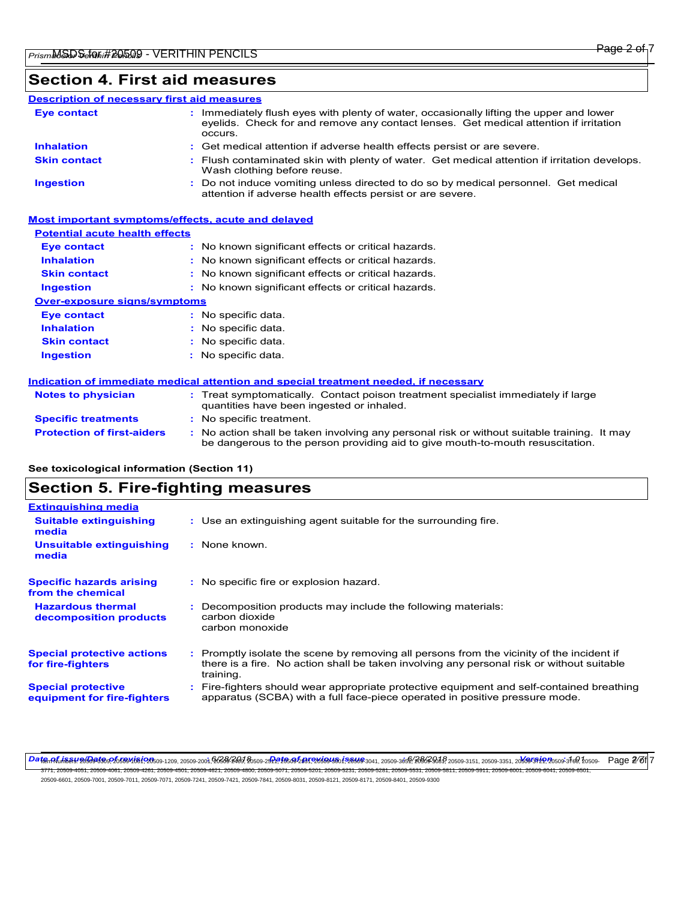### **Section 4. First aid measures**

#### Do not induce vomiting unless directed to do so by medical personnel. Get medical attention if adverse health effects persist or are severe. **:** Immediately flush eyes with plenty of water, occasionally lifting the upper and lower eyelids. Check for and remove any contact lenses. Get medical attention if irritation occurs. Flush contaminated skin with plenty of water. Get medical attention if irritation develops. **:** Wash clothing before reuse. Get medical attention if adverse health effects persist or are severe. **: Eye contact Skin contact Inhalation Ingestion : Description of necessary first aid measures**

### **Most important symptoms/effects, acute and delayed**

### **Potential acute health effects**

| <b>Eye contact</b>                  | : No known significant effects or critical hazards. |
|-------------------------------------|-----------------------------------------------------|
| <b>Inhalation</b>                   | : No known significant effects or critical hazards. |
| <b>Skin contact</b>                 | : No known significant effects or critical hazards. |
| <b>Ingestion</b>                    | : No known significant effects or critical hazards. |
| <b>Over-exposure signs/symptoms</b> |                                                     |
| <b>Eye contact</b>                  | No specific data.                                   |
| <b>Inhalation</b>                   | : No specific data.                                 |
| <b>Skin contact</b>                 | : No specific data.                                 |
| <b>Ingestion</b>                    | : No specific data.                                 |

#### **Indication of immediate medical attention and special treatment needed, if necessary**

| <b>Notes to physician</b>         | : Treat symptomatically. Contact poison treatment specialist immediately if large<br>quantities have been ingested or inhaled.                                                |  |
|-----------------------------------|-------------------------------------------------------------------------------------------------------------------------------------------------------------------------------|--|
| <b>Specific treatments</b>        | : No specific treatment.                                                                                                                                                      |  |
| <b>Protection of first-aiders</b> | : No action shall be taken involving any personal risk or without suitable training. It may<br>be dangerous to the person providing aid to give mouth-to-mouth resuscitation. |  |

### **See toxicological information (Section 11)**

### **Section 5. Fire-fighting measures**

| <b>Extinguishing media</b>                               |                                                                                                                                                                                                   |
|----------------------------------------------------------|---------------------------------------------------------------------------------------------------------------------------------------------------------------------------------------------------|
| <b>Suitable extinguishing</b><br>media                   | : Use an extinguishing agent suitable for the surrounding fire.                                                                                                                                   |
| Unsuitable extinguishing<br>media                        | : None known.                                                                                                                                                                                     |
| <b>Specific hazards arising</b><br>from the chemical     | : No specific fire or explosion hazard.                                                                                                                                                           |
| <b>Hazardous thermal</b><br>decomposition products       | Decomposition products may include the following materials:<br>carbon dioxide<br>carbon monoxide                                                                                                  |
| <b>Special protective actions</b><br>for fire-fighters   | Promptly isolate the scene by removing all persons from the vicinity of the incident if<br>there is a fire. No action shall be taken involving any personal risk or without suitable<br>training. |
| <b>Special protective</b><br>equipment for fire-fighters | Fire-fighters should wear appropriate protective equipment and self-contained breathing<br>apparatus (SCBA) with a full face-piece operated in positive pressure mode.                            |

DatemALinas! 2009150926569M661926509-1209, 20509-2001, 26868/2001 80509-2007 168065481926604501-20509-3041, 20509-3659/26668-0068 20509-3151, 20509-3351, 20609-5169, 20509-3569, 20509-3569, 20609-6369, 20509-3771, 20509-4051, 20509-4061, 20509-4261, 20509-4501, 20509-4621, 20509-4800, 20509-5071, 20509-5201, 20509-5231, 20509-5281, 20509-5531, 20509-5811, 20509-5911, 20509-6001, 20509-6041, 20509-6501, Page  $2$ <sup>6</sup>f $7$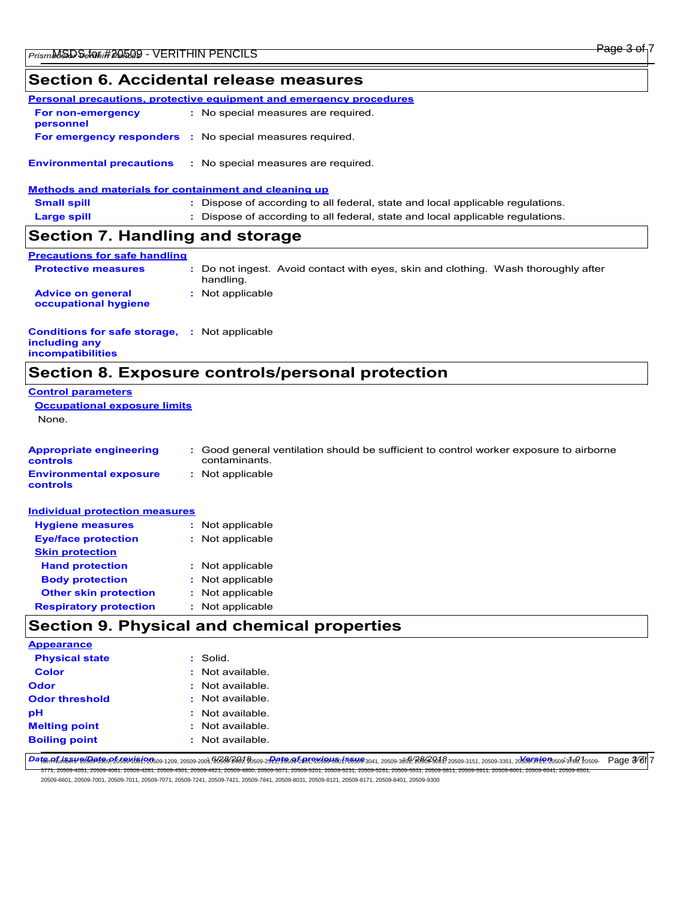### **Section 6. Accidental release measures**

|                                                       | Personal precautions, protective equipment and emergency procedures            |  |
|-------------------------------------------------------|--------------------------------------------------------------------------------|--|
| For non-emergency<br>personnel                        | : No special measures are required.                                            |  |
|                                                       | <b>For emergency responders : No special measures required.</b>                |  |
| <b>Environmental precautions</b>                      | : No special measures are required.                                            |  |
| Methods and materials for containment and cleaning up |                                                                                |  |
| <b>Small spill</b>                                    | : Dispose of according to all federal, state and local applicable regulations. |  |
| <b>Large spill</b>                                    | : Dispose of according to all federal, state and local applicable regulations. |  |
| Section 7. Handling and storage                       |                                                                                |  |
| <b>Precautions for safe handling</b>                  |                                                                                |  |

| <b>THE PERSON IS TO LIGHT AND I</b>              | Do not ingest. Avoid contact with eyes, skin and clothing. Wash thoroughly after |
|--------------------------------------------------|----------------------------------------------------------------------------------|
| <b>Protective measures</b>                       | handling.                                                                        |
| <b>Advice on general</b><br>occupational hygiene | Not applicable                                                                   |

#### **Conditions for safe storage, : Not applicable including any incompatibilities**

### **Section 8. Exposure controls/personal protection**

| <b>Control parameters</b><br><b>Occupational exposure limits</b> |                                                                                                         |  |  |
|------------------------------------------------------------------|---------------------------------------------------------------------------------------------------------|--|--|
|                                                                  |                                                                                                         |  |  |
|                                                                  |                                                                                                         |  |  |
| <b>Appropriate engineering</b><br>controls                       | : Good general ventilation should be sufficient to control worker exposure to airborne<br>contaminants. |  |  |
| <b>Environmental exposure</b><br>controls                        | : Not applicable                                                                                        |  |  |
| <b>Individual protection measures</b>                            |                                                                                                         |  |  |
| <b>Hygiene measures</b>                                          | : Not applicable                                                                                        |  |  |
| <b>Eye/face protection</b>                                       | : Not applicable                                                                                        |  |  |
| <b>Skin protection</b>                                           |                                                                                                         |  |  |
| <b>Hand protection</b>                                           | : Not applicable                                                                                        |  |  |

| <b>Hally protection</b>       | . <i>i</i> vul applicable |
|-------------------------------|---------------------------|
| <b>Body protection</b>        | : Not applicable          |
| <b>Other skin protection</b>  | : Not applicable          |
| <b>Respiratory protection</b> | : Not applicable          |

# **Section 9. Physical and chemical properties**

| <b>Appearance</b>     |                    |
|-----------------------|--------------------|
| <b>Physical state</b> | : Solid.           |
| Color                 | $:$ Not available. |
| Odor                  | $:$ Not available. |
| <b>Odor threshold</b> | $:$ Not available. |
| рH                    | : Not available.   |
| <b>Melting point</b>  | : Not available.   |
| <b>Boiling point</b>  | : Not available.   |
|                       |                    |

<del>Dat@nALiS&Y&G9df00PL05004066[205</del>09-1209, 20509-2009, 266384249, 20509-2<del>0PPL05.09DB19P26609-0809-28609</del>9041, 20509-36694266490669268420509-3151, 20509-3351, 20<del>50971092</del>0509-3766, 20509- Page 3/81 7 3771, 20509-4051, 20509-4061, 20509-4261, 20509-4501, 20509-4621, 20509-4800, 20509-5071, 20509-5201, 20509-5231, 20509-5281, 20509-5531, 20509-5811, 20509-5911, 20509-6001, 20509-6041, 20509-6501,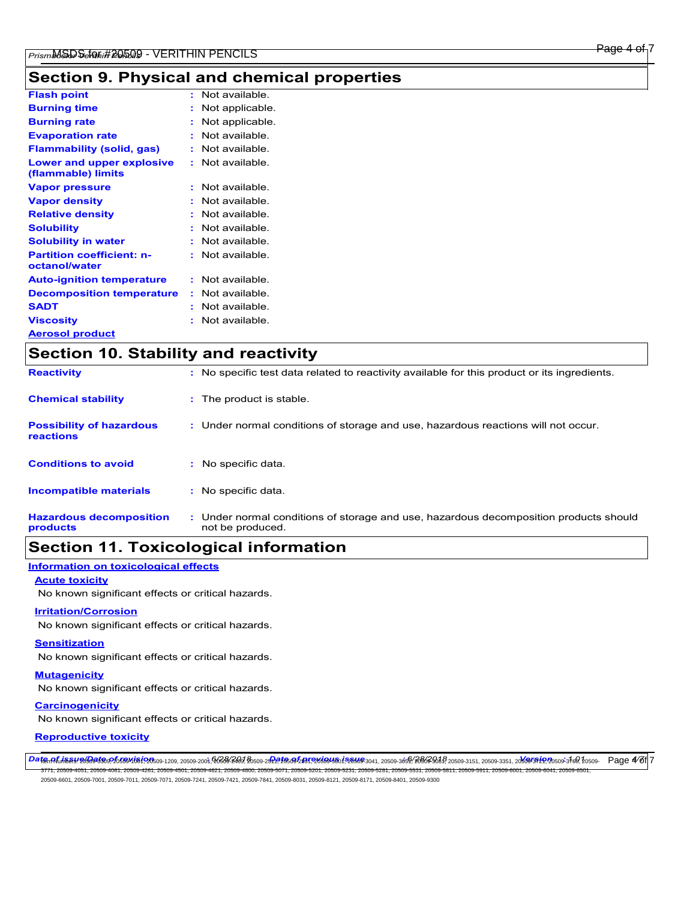# **Section 9. Physical and chemical properties**

| <b>Flash point</b>                                |   | Not available.  |
|---------------------------------------------------|---|-----------------|
| <b>Burning time</b>                               |   | Not applicable. |
| <b>Burning rate</b>                               |   | Not applicable. |
| <b>Evaporation rate</b>                           |   | Not available.  |
| <b>Flammability (solid, gas)</b>                  |   | Not available.  |
| Lower and upper explosive<br>(flammable) limits   |   | Not available   |
| <b>Vapor pressure</b>                             | ÷ | Not available.  |
| <b>Vapor density</b>                              |   | Not available.  |
| <b>Relative density</b>                           |   | Not available   |
| <b>Solubility</b>                                 |   | Not available   |
| <b>Solubility in water</b>                        | ÷ | Not available.  |
| <b>Partition coefficient: n-</b><br>octanol/water |   | Not available.  |
| <b>Auto-ignition temperature</b>                  | ÷ | Not available.  |
| <b>Decomposition temperature</b>                  | ÷ | Not available.  |
| <b>SADT</b>                                       | ٠ | Not available.  |
| <b>Viscosity</b>                                  | ÷ | Not available.  |
| <b>Aerosol product</b>                            |   |                 |

| Section 10. Stability and reactivity         |  |                                                                                                           |
|----------------------------------------------|--|-----------------------------------------------------------------------------------------------------------|
| <b>Reactivity</b>                            |  | : No specific test data related to reactivity available for this product or its ingredients.              |
| <b>Chemical stability</b>                    |  | : The product is stable.                                                                                  |
| <b>Possibility of hazardous</b><br>reactions |  | : Under normal conditions of storage and use, hazardous reactions will not occur.                         |
| <b>Conditions to avoid</b>                   |  | : No specific data.                                                                                       |
| <b>Incompatible materials</b>                |  | : No specific data.                                                                                       |
| <b>Hazardous decomposition</b><br>products   |  | : Under normal conditions of storage and use, hazardous decomposition products should<br>not be produced. |

## **Section 11. Toxicological information**

### **Information on toxicological effects**

#### **Acute toxicity**

 $\mathsf{r}$ 

No known significant effects or critical hazards.

### **Irritation/Corrosion**

No known significant effects or critical hazards.

#### **Sensitization**

No known significant effects or critical hazards.

#### **Mutagenicity**

No known significant effects or critical hazards.

#### **Carcinogenicity**

No known significant effects or critical hazards.

#### **Reproductive toxicity**

DatenALibay 200916091609166126509-1209, 20509-2001, 26368-2001, 20509-2009 2009 2009 2011, 20609-2012 20109-3069 20009-3000 20509-3151, 20509-3151, 20509-3151, 20609-3151, 20609-3151, 20609-3151, 20609-3151, 20609-3151, 20 3771, 20509-4051, 20509-4061, 20509-4261, 20509-4501, 20509-4500, 20509-5071, 20509-5261, 20509-5281, 20509-5351, 20509-5351, 20509-5811, 20509-5811, 20509-5911, 20509-6001, 20509-6001, 20509-6001, 20509-6041, 20509-6601, Page 4<sup>/</sup>6f 7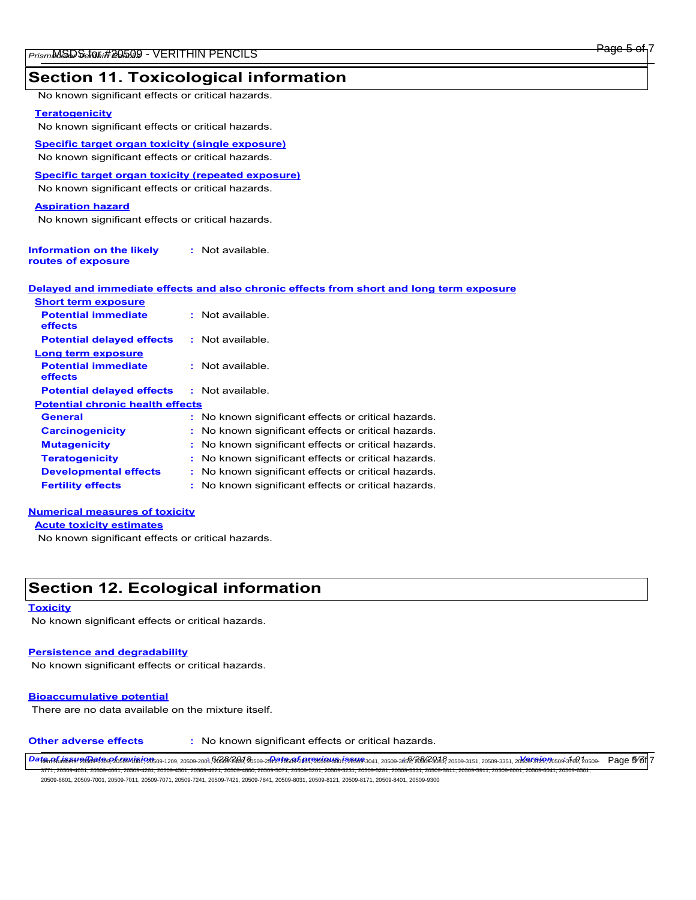### **Section 11. Toxicological information**

No known significant effects or critical hazards.

#### **Teratogenicity**

No known significant effects or critical hazards.

**Specific target organ toxicity (single exposure)** No known significant effects or critical hazards.

**Specific target organ toxicity (repeated exposure)**

No known significant effects or critical hazards.

#### **Aspiration hazard**

No known significant effects or critical hazards.

| Information on the likely | : Not available. |
|---------------------------|------------------|
| routes of exposure        |                  |

### **Delayed and immediate effects and also chronic effects from short and long term exposure**

| <b>Short term exposure</b>                        |  |                                                     |  |  |
|---------------------------------------------------|--|-----------------------------------------------------|--|--|
| <b>Potential immediate</b><br><b>effects</b>      |  | : Not available.                                    |  |  |
| <b>Potential delayed effects</b>                  |  | $:$ Not available.                                  |  |  |
| Long term exposure                                |  |                                                     |  |  |
| <b>Potential immediate</b><br><b>effects</b>      |  | : Not available.                                    |  |  |
| <b>Potential delayed effects : Not available.</b> |  |                                                     |  |  |
| <b>Potential chronic health effects</b>           |  |                                                     |  |  |
| General                                           |  | : No known significant effects or critical hazards. |  |  |
| <b>Carcinogenicity</b>                            |  | : No known significant effects or critical hazards. |  |  |
| <b>Mutagenicity</b>                               |  | : No known significant effects or critical hazards. |  |  |
| <b>Teratogenicity</b>                             |  | : No known significant effects or critical hazards. |  |  |
| <b>Developmental effects</b>                      |  | : No known significant effects or critical hazards. |  |  |
| <b>Fertility effects</b>                          |  | : No known significant effects or critical hazards. |  |  |

### **Numerical measures of toxicity**

**Acute toxicity estimates**

No known significant effects or critical hazards.

### **Section 12. Ecological information**

#### **Toxicity**

No known significant effects or critical hazards.

#### **Persistence and degradability**

No known significant effects or critical hazards.

#### **Bioaccumulative potential**

There are no data available on the mixture itself.

**Other adverse effects :** No known significant effects or critical hazards.

*Date of issue/Date of revision* Item Numbers: 20509-0309, 20509-1001, 20509-1209, 20509-2001, 20509-2409, 20509-2511, 20509-2531, 20509-3001, 20509-3041, 20509-3051, 20509-3081, 20509-3151, 20509-3351, 20509-3721, 20509-3760, 20509- **:** *6/28/2018 Date of previous issue : 6/28/2018 Version : 1.01 5/7* Page 5/6f7

3771, 20509-4051, 20509-4061, 20509-4261, 20509-4501, 20509-4621, 20509-4800, 20509-5071, 20509-5201, 20509-5231, 20509-5281, 20509-5531, 20509-5811, 20509-5911, 20509-6001, 20509-6041, 20509-6501,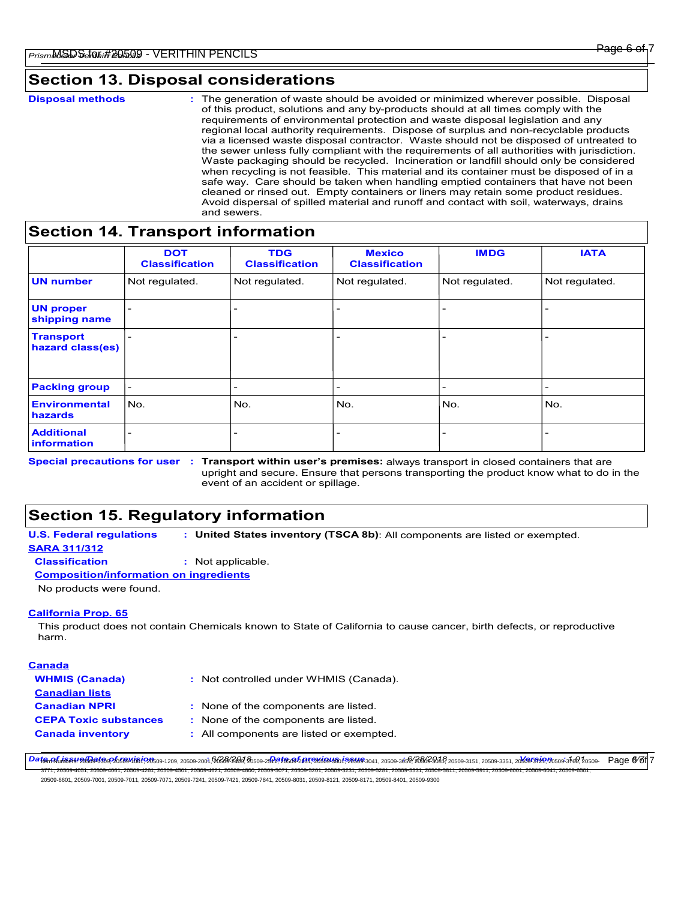### **Section 13. Disposal considerations**

**Disposal methods :**

The generation of waste should be avoided or minimized wherever possible. Disposal of this product, solutions and any by-products should at all times comply with the requirements of environmental protection and waste disposal legislation and any regional local authority requirements. Dispose of surplus and non-recyclable products via a licensed waste disposal contractor. Waste should not be disposed of untreated to the sewer unless fully compliant with the requirements of all authorities with jurisdiction. Waste packaging should be recycled. Incineration or landfill should only be considered when recycling is not feasible. This material and its container must be disposed of in a safe way. Care should be taken when handling emptied containers that have not been cleaned or rinsed out. Empty containers or liners may retain some product residues. Avoid dispersal of spilled material and runoff and contact with soil, waterways, drains and sewers.

### **Section 14. Transport information**

|                                         | <b>DOT</b><br><b>Classification</b> | <b>TDG</b><br><b>Classification</b> | <b>Mexico</b><br><b>Classification</b> | <b>IMDG</b>    | <b>IATA</b>    |
|-----------------------------------------|-------------------------------------|-------------------------------------|----------------------------------------|----------------|----------------|
| <b>UN number</b>                        | Not regulated.                      | Not regulated.                      | Not regulated.                         | Not regulated. | Not regulated. |
| <b>UN proper</b><br>shipping name       |                                     |                                     | $\overline{\phantom{0}}$               |                |                |
| <b>Transport</b><br>hazard class(es)    |                                     |                                     | $\overline{\phantom{a}}$               |                |                |
| <b>Packing group</b>                    | $\overline{\phantom{0}}$            | $\overline{\phantom{0}}$            | $\overline{\phantom{a}}$               |                |                |
| <b>Environmental</b><br>hazards         | No.                                 | No.                                 | No.                                    | No.            | No.            |
| <b>Additional</b><br><b>information</b> |                                     | $\overline{\phantom{0}}$            | $\overline{\phantom{0}}$               |                |                |

Special precautions for user : Transport within user's premises: always transport in closed containers that are upright and secure. Ensure that persons transporting the product know what to do in the event of an accident or spillage.

# **Section 15. Regulatory information**

**U.S. Federal regulations : United States inventory (TSCA 8b)**: All components are listed or exempted.

**SARA 311/312**

**Classification :** Not applicable.

**Composition/information on ingredients**

No products were found.

#### **California Prop. 65**

This product does not contain Chemicals known to State of California to cause cancer, birth defects, or reproductive harm.

| Canada                       |                                          |
|------------------------------|------------------------------------------|
| <b>WHMIS (Canada)</b>        | : Not controlled under WHMIS (Canada).   |
| <b>Canadian lists</b>        |                                          |
| <b>Canadian NPRI</b>         | : None of the components are listed.     |
| <b>CEPA Toxic substances</b> | : None of the components are listed.     |
| <b>Canada inventory</b>      | : All components are listed or exempted. |
|                              |                                          |

<mark>Dat@nALi5&y;%Gg%t90;%L6Gg%t68}{50{509+209,20509-200}{\$663%409}\$</mark>8509-2<mark>AP?\$6G9&\$879X\$6Y\$6V\$6V\$6</mark>\$96\$9341,20509-365\$?{&B6\$R26509-3151,20509-3351,20<mark>5GK7\$P?%</mark>D509-3768}{\$0509-3751}}\$ 1, 20509-4051, 20509-4061, 20509-4261, 20509-4501, 20509-4621, 20509-5071, 20509-5201, 20509-5251, 20509-5531, 20509-5501, 20509-5811, 20509-5911, 20509-5601, 20509-6001, 20509-6001, 20509-6001, 20509-6001, 20509-6001, 205 Page 6<sup>/</sup>6f<sup>7</sup>